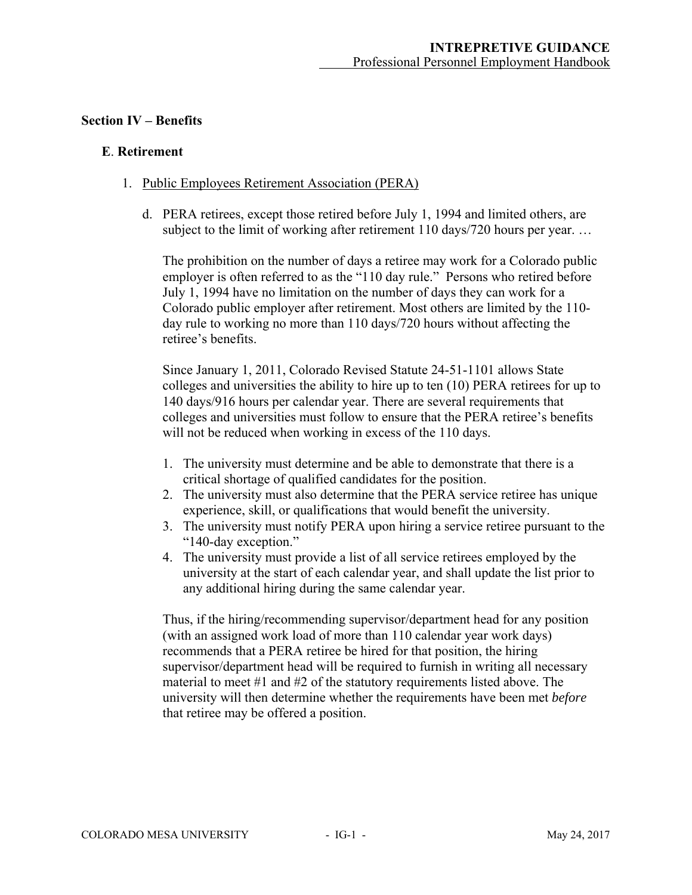### **Section IV – Benefits**

### **E**. **Retirement**

- 1. Public Employees Retirement Association (PERA)
	- d. PERA retirees, except those retired before July 1, 1994 and limited others, are subject to the limit of working after retirement 110 days/720 hours per year...

The prohibition on the number of days a retiree may work for a Colorado public employer is often referred to as the "110 day rule." Persons who retired before July 1, 1994 have no limitation on the number of days they can work for a Colorado public employer after retirement. Most others are limited by the 110 day rule to working no more than 110 days/720 hours without affecting the retiree's benefits.

Since January 1, 2011, Colorado Revised Statute 24-51-1101 allows State colleges and universities the ability to hire up to ten (10) PERA retirees for up to 140 days/916 hours per calendar year. There are several requirements that colleges and universities must follow to ensure that the PERA retiree's benefits will not be reduced when working in excess of the 110 days.

- 1. The university must determine and be able to demonstrate that there is a critical shortage of qualified candidates for the position.
- 2. The university must also determine that the PERA service retiree has unique experience, skill, or qualifications that would benefit the university.
- 3. The university must notify PERA upon hiring a service retiree pursuant to the "140-day exception."
- 4. The university must provide a list of all service retirees employed by the university at the start of each calendar year, and shall update the list prior to any additional hiring during the same calendar year.

Thus, if the hiring/recommending supervisor/department head for any position (with an assigned work load of more than 110 calendar year work days) recommends that a PERA retiree be hired for that position, the hiring supervisor/department head will be required to furnish in writing all necessary material to meet #1 and #2 of the statutory requirements listed above. The university will then determine whether the requirements have been met *before* that retiree may be offered a position.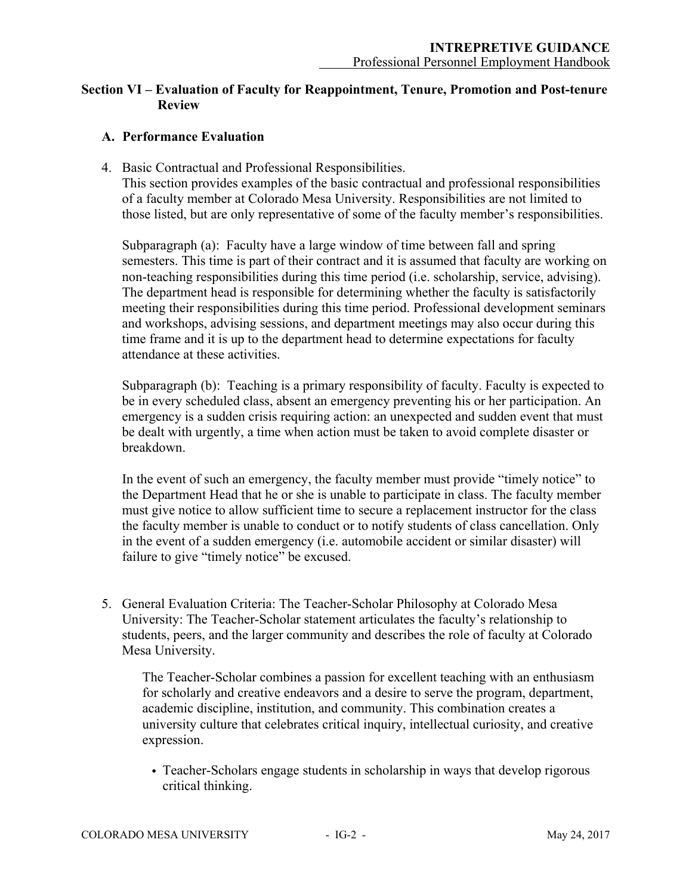# **Section VI – Evaluation of Faculty for Reappointment, Tenure, Promotion and Post-tenure Review**

# **A. Performance Evaluation**

4. Basic Contractual and Professional Responsibilities.

This section provides examples of the basic contractual and professional responsibilities of a faculty member at Colorado Mesa University. Responsibilities are not limited to those listed, but are only representative of some of the faculty member's responsibilities.

Subparagraph (a): Faculty have a large window of time between fall and spring semesters. This time is part of their contract and it is assumed that faculty are working on non-teaching responsibilities during this time period (i.e. scholarship, service, advising). The department head is responsible for determining whether the faculty is satisfactorily meeting their responsibilities during this time period. Professional development seminars and workshops, advising sessions, and department meetings may also occur during this time frame and it is up to the department head to determine expectations for faculty attendance at these activities.

Subparagraph (b): Teaching is a primary responsibility of faculty. Faculty is expected to be in every scheduled class, absent an emergency preventing his or her participation. An emergency is a sudden crisis requiring action: an unexpected and sudden event that must be dealt with urgently, a time when action must be taken to avoid complete disaster or breakdown.

In the event of such an emergency, the faculty member must provide "timely notice" to the Department Head that he or she is unable to participate in class. The faculty member must give notice to allow sufficient time to secure a replacement instructor for the class the faculty member is unable to conduct or to notify students of class cancellation. Only in the event of a sudden emergency (i.e. automobile accident or similar disaster) will failure to give "timely notice" be excused.

5. General Evaluation Criteria: The Teacher-Scholar Philosophy at Colorado Mesa University: The Teacher-Scholar statement articulates the faculty's relationship to students, peers, and the larger community and describes the role of faculty at Colorado Mesa University.

The Teacher-Scholar combines a passion for excellent teaching with an enthusiasm for scholarly and creative endeavors and a desire to serve the program, department, academic discipline, institution, and community. This combination creates a university culture that celebrates critical inquiry, intellectual curiosity, and creative expression.

• Teacher-Scholars engage students in scholarship in ways that develop rigorous critical thinking.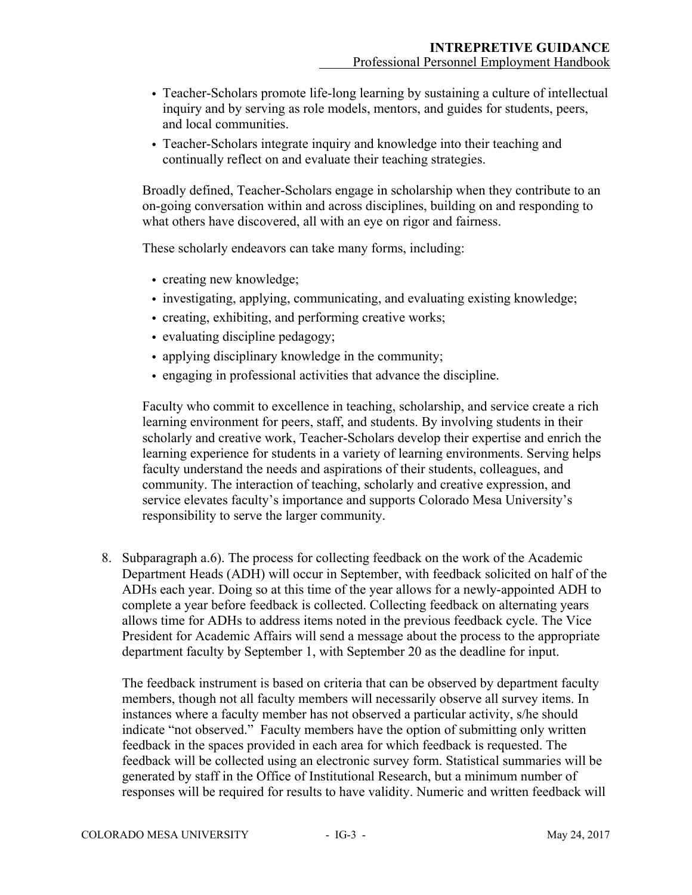- Teacher-Scholars promote life-long learning by sustaining a culture of intellectual inquiry and by serving as role models, mentors, and guides for students, peers, and local communities.
- Teacher-Scholars integrate inquiry and knowledge into their teaching and continually reflect on and evaluate their teaching strategies.

Broadly defined, Teacher-Scholars engage in scholarship when they contribute to an on-going conversation within and across disciplines, building on and responding to what others have discovered, all with an eye on rigor and fairness.

These scholarly endeavors can take many forms, including:

- creating new knowledge;
- investigating, applying, communicating, and evaluating existing knowledge;
- creating, exhibiting, and performing creative works;
- evaluating discipline pedagogy;
- applying disciplinary knowledge in the community;
- engaging in professional activities that advance the discipline.

Faculty who commit to excellence in teaching, scholarship, and service create a rich learning environment for peers, staff, and students. By involving students in their scholarly and creative work, Teacher-Scholars develop their expertise and enrich the learning experience for students in a variety of learning environments. Serving helps faculty understand the needs and aspirations of their students, colleagues, and community. The interaction of teaching, scholarly and creative expression, and service elevates faculty's importance and supports Colorado Mesa University's responsibility to serve the larger community.

8. Subparagraph a.6). The process for collecting feedback on the work of the Academic Department Heads (ADH) will occur in September, with feedback solicited on half of the ADHs each year. Doing so at this time of the year allows for a newly-appointed ADH to complete a year before feedback is collected. Collecting feedback on alternating years allows time for ADHs to address items noted in the previous feedback cycle. The Vice President for Academic Affairs will send a message about the process to the appropriate department faculty by September 1, with September 20 as the deadline for input.

The feedback instrument is based on criteria that can be observed by department faculty members, though not all faculty members will necessarily observe all survey items. In instances where a faculty member has not observed a particular activity, s/he should indicate "not observed." Faculty members have the option of submitting only written feedback in the spaces provided in each area for which feedback is requested. The feedback will be collected using an electronic survey form. Statistical summaries will be generated by staff in the Office of Institutional Research, but a minimum number of responses will be required for results to have validity. Numeric and written feedback will